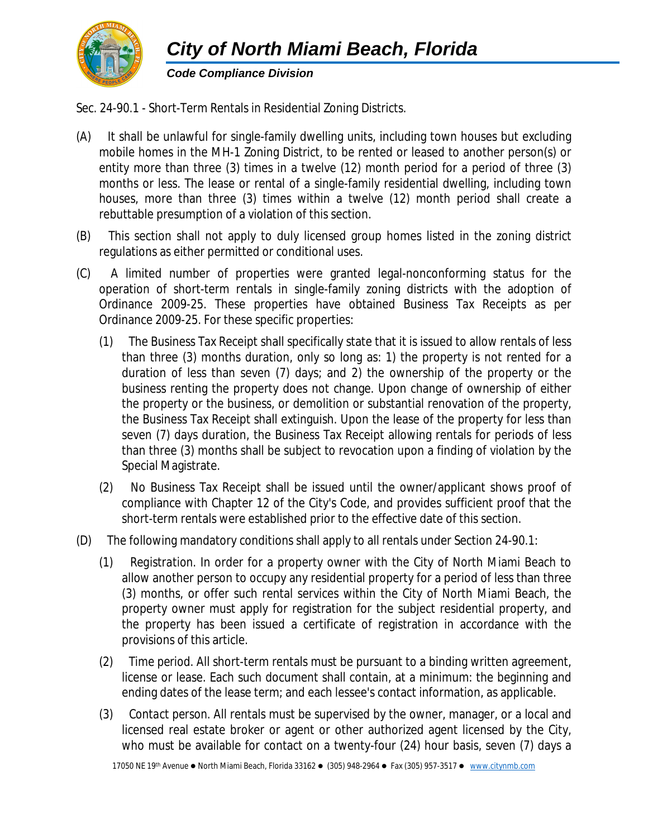

## *Code Compliance Division*

Sec. 24-90.1 - Short-Term Rentals in Residential Zoning Districts.

- (A) It shall be unlawful for single-family dwelling units, including town houses but excluding mobile homes in the MH-1 Zoning District, to be rented or leased to another person(s) or entity more than three (3) times in a twelve (12) month period for a period of three (3) months or less. The lease or rental of a single-family residential dwelling, including town houses, more than three (3) times within a twelve (12) month period shall create a rebuttable presumption of a violation of this section.
- (B) This section shall not apply to duly licensed group homes listed in the zoning district regulations as either permitted or conditional uses.
- (C) A limited number of properties were granted legal-nonconforming status for the operation of short-term rentals in single-family zoning districts with the adoption of Ordinance 2009-25. These properties have obtained Business Tax Receipts as per Ordinance 2009-25. For these specific properties:
	- (1) The Business Tax Receipt shall specifically state that it is issued to allow rentals of less than three (3) months duration, only so long as: 1) the property is not rented for a duration of less than seven (7) days; and 2) the ownership of the property or the business renting the property does not change. Upon change of ownership of either the property or the business, or demolition or substantial renovation of the property, the Business Tax Receipt shall extinguish. Upon the lease of the property for less than seven (7) days duration, the Business Tax Receipt allowing rentals for periods of less than three (3) months shall be subject to revocation upon a finding of violation by the Special Magistrate.
	- (2) No Business Tax Receipt shall be issued until the owner/applicant shows proof of compliance with Chapter 12 of the City's Code, and provides sufficient proof that the short-term rentals were established prior to the effective date of this section.
- (D) The following mandatory conditions shall apply to all rentals under Section 24-90.1:
	- (1) *Registration.* In order for a property owner with the City of North Miami Beach to allow another person to occupy any residential property for a period of less than three (3) months, or offer such rental services within the City of North Miami Beach, the property owner must apply for registration for the subject residential property, and the property has been issued a certificate of registration in accordance with the provisions of this article.
	- (2) *Time period.* All short-term rentals must be pursuant to a binding written agreement, license or lease. Each such document shall contain, at a minimum: the beginning and ending dates of the lease term; and each lessee's contact information, as applicable.
	- (3) *Contact person.* All rentals must be supervised by the owner, manager, or a local and licensed real estate broker or agent or other authorized agent licensed by the City, who must be available for contact on a twenty-four (24) hour basis, seven (7) days a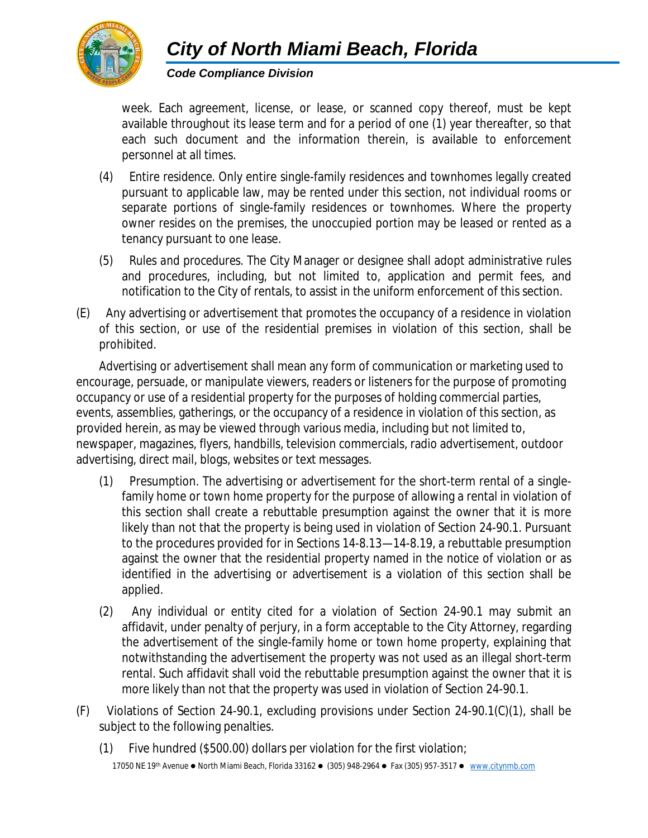

*Code Compliance Division*

week. Each agreement, license, or lease, or scanned copy thereof, must be kept available throughout its lease term and for a period of one (1) year thereafter, so that each such document and the information therein, is available to enforcement personnel at all times.

- (4) *Entire residence.* Only entire single-family residences and townhomes legally created pursuant to applicable law, may be rented under this section, not individual rooms or separate portions of single-family residences or townhomes. Where the property owner resides on the premises, the unoccupied portion may be leased or rented as a tenancy pursuant to one lease.
- (5) *Rules and procedures.* The City Manager or designee shall adopt administrative rules and procedures, including, but not limited to, application and permit fees, and notification to the City of rentals, to assist in the uniform enforcement of this section.
- (E) Any advertising or advertisement that promotes the occupancy of a residence in violation of this section, or use of the residential premises in violation of this section, shall be prohibited.

*Advertising* or *advertisement* shall mean any form of communication or marketing used to encourage, persuade, or manipulate viewers, readers or listeners for the purpose of promoting occupancy or use of a residential property for the purposes of holding commercial parties, events, assemblies, gatherings, or the occupancy of a residence in violation of this section, as provided herein, as may be viewed through various media, including but not limited to, newspaper, magazines, flyers, handbills, television commercials, radio advertisement, outdoor advertising, direct mail, blogs, websites or text messages.

- (1) Presumption. The advertising or advertisement for the short-term rental of a singlefamily home or town home property for the purpose of allowing a rental in violation of this section shall create a rebuttable presumption against the owner that it is more likely than not that the property is being used in violation of Section 24-90.1. Pursuant to the procedures provided for in Sections 14-8.13—14-8.19, a rebuttable presumption against the owner that the residential property named in the notice of violation or as identified in the advertising or advertisement is a violation of this section shall be applied.
- (2) Any individual or entity cited for a violation of Section 24-90.1 may submit an affidavit, under penalty of perjury, in a form acceptable to the City Attorney, regarding the advertisement of the single-family home or town home property, explaining that notwithstanding the advertisement the property was not used as an illegal short-term rental. Such affidavit shall void the rebuttable presumption against the owner that it is more likely than not that the property was used in violation of Section 24-90.1.
- (F) Violations of Section 24-90.1, excluding provisions under Section 24-90.1(C)(1), shall be subject to the following penalties.
	- (1) Five hundred (\$500.00) dollars per violation for the first violation;